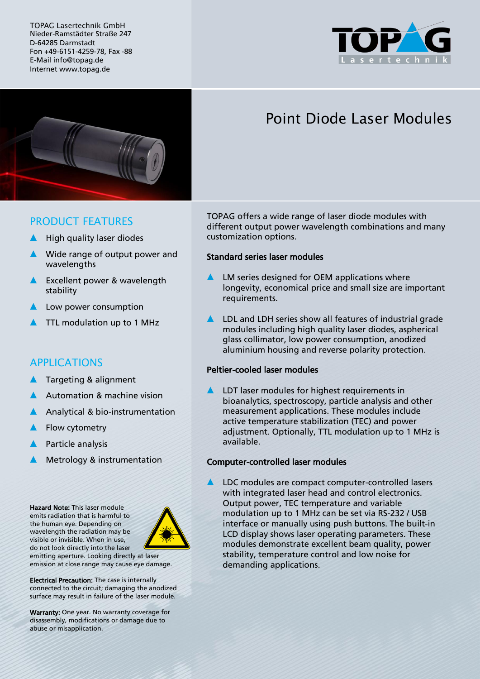TOPAG Lasertechnik GmbH Nieder-Ramstädter Straße 247 D-64285 Darmstadt Fon +49-6151-4259-78, Fax -88 E-Mail info@topag.de Internet www.topag.de





# Point Diode Laser Modules

## PRODUCT FEATURES

- High quality laser diodes
- ▲ Wide range of output power and wavelengths
- ▲ Excellent power & wavelength stability
- Low power consumption
- ▲ TTL modulation up to 1 MHz

## APPLICATIONS

- Targeting & alignment
- Automation & machine vision
- Analytical & bio-instrumentation
- Flow cytometry
- Particle analysis
- Metrology & instrumentation

Hazard Note: This laser module emits radiation that is harmful to the human eye. Depending on wavelength the radiation may be visible or invisible. When in use, do not look directly into the laser



emitting aperture. Looking directly at laser emission at close range may cause eye damage.

Electrical Precaution: The case is internally connected to the circuit; damaging the anodized surface may result in failure of the laser module.

Warranty: One year. No warranty coverage for disassembly, modifications or damage due to abuse or misapplication.

TOPAG offers a wide range of laser diode modules with different output power wavelength combinations and many customization options.

#### Standard series laser modules

- LM series designed for OEM applications where longevity, economical price and small size are important requirements.
- ▲ LDL and LDH series show all features of industrial grade modules including high quality laser diodes, aspherical glass collimator, low power consumption, anodized aluminium housing and reverse polarity protection.

### Peltier-cooled laser modules

LDT laser modules for highest requirements in bioanalytics, spectroscopy, particle analysis and other measurement applications. These modules include active temperature stabilization (TEC) and power adjustment. Optionally, TTL modulation up to 1 MHz is available.

#### Computer-controlled laser modules

LDC modules are compact computer-controlled lasers with integrated laser head and control electronics. Output power, TEC temperature and variable modulation up to 1 MHz can be set via RS-232 / USB interface or manually using push buttons. The built-in LCD display shows laser operating parameters. These modules demonstrate excellent beam quality, power stability, temperature control and low noise for demanding applications.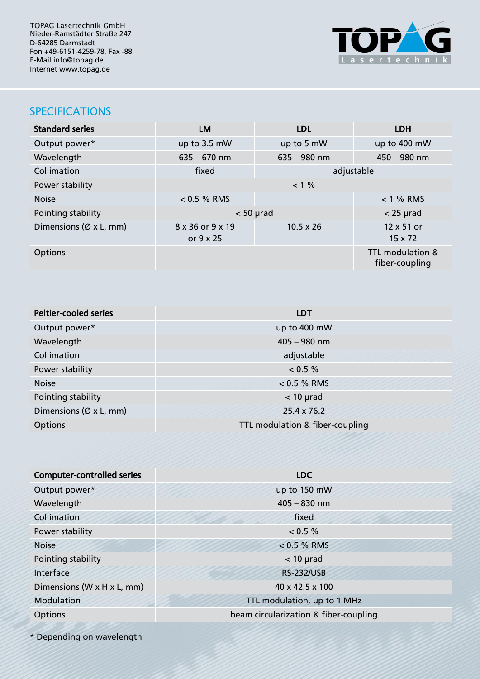TOPAG Lasertechnik GmbH Nieder-Ramstädter Straße 247 D-64285 Darmstadt Fon +49-6151-4259-78, Fax -88 E-Mail info@topag.de Internet www.topag.de



## SPECIFICATIONS

| <b>Standard series</b>              | <b>LM</b>                     | <b>LDL</b>       | <b>LDH</b>                         |  |
|-------------------------------------|-------------------------------|------------------|------------------------------------|--|
| Output power*                       | up to 3.5 mW                  | up to 5 mW       | up to 400 mW                       |  |
| Wavelength                          | $635 - 670$ nm                | $635 - 980$ nm   | $450 - 980$ nm                     |  |
| Collimation                         | fixed                         |                  | adjustable                         |  |
| Power stability                     | $< 1 \%$                      |                  |                                    |  |
| <b>Noise</b>                        | $< 0.5 %$ RMS                 |                  | $< 1$ % RMS                        |  |
| Pointing stability                  | $< 50$ µrad                   |                  | $<$ 25 µrad                        |  |
| Dimensions ( $\varnothing$ x L, mm) | 8 x 36 or 9 x 19<br>or 9 x 25 | $10.5 \times 26$ | 12 x 51 or<br>$15 \times 72$       |  |
| <b>Options</b>                      |                               |                  | TTL modulation &<br>fiber-coupling |  |

| <b>Peltier-cooled series</b> | <b>LDT</b>                                                   |  |
|------------------------------|--------------------------------------------------------------|--|
| Output power*                | up to 400 mW                                                 |  |
| Wavelength                   | $405 - 980$ nm                                               |  |
| Collimation                  | adjustable                                                   |  |
| Power stability              | $< 0.5 \%$                                                   |  |
| <b>Noise</b>                 | $< 0.5 %$ RMS                                                |  |
| Pointing stability           | $<$ 10 $\mu$ rad                                             |  |
| Dimensions (Ø x L, mm)       | 25.4 x 76.2                                                  |  |
| <b>Options</b>               | TTL modulation & fiber-coupling<br>,,,,,,,,,,,,,,,,,,,,,,,,, |  |

| <b>Computer-controlled series</b> | <b>LDC</b>                            |  |
|-----------------------------------|---------------------------------------|--|
| Output power*                     | up to 150 mW                          |  |
| Wavelength                        | $405 - 830$ nm                        |  |
| Collimation                       | fixed                                 |  |
| Power stability                   | < 0.5 %                               |  |
| <b>Noise</b>                      | $< 0.5 \%$ RMS                        |  |
| Pointing stability                | $<$ 10 $\mu$ rad                      |  |
| Interface                         | <b>RS-232/USB</b>                     |  |
| Dimensions (W x H x L, mm)        | 40 x 42.5 x 100                       |  |
| Modulation                        | TTL modulation, up to 1 MHz           |  |
| Options                           | beam circularization & fiber-coupling |  |
|                                   |                                       |  |

\* Depending on wavelength